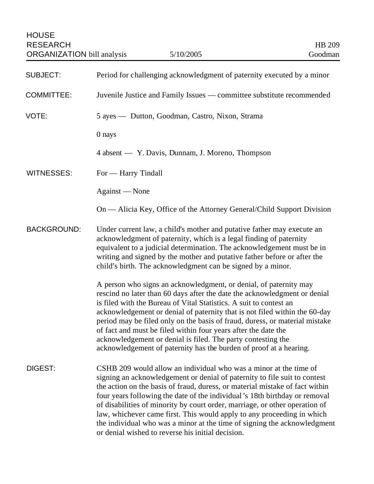HOUSE RESEARCH HB 209<br>
ORGANIZATION bill analysis 5/10/2005 5/10/2005 Goodman ORGANIZATION bill analysis

| <b>SUBJECT:</b>    | Period for challenging acknowledgment of paternity executed by a minor                                                                                                                                                                                                                                                                                                                                                                                                                                                                                                                                 |
|--------------------|--------------------------------------------------------------------------------------------------------------------------------------------------------------------------------------------------------------------------------------------------------------------------------------------------------------------------------------------------------------------------------------------------------------------------------------------------------------------------------------------------------------------------------------------------------------------------------------------------------|
| <b>COMMITTEE:</b>  | Juvenile Justice and Family Issues — committee substitute recommended                                                                                                                                                                                                                                                                                                                                                                                                                                                                                                                                  |
| VOTE:              | 5 ayes — Dutton, Goodman, Castro, Nixon, Strama                                                                                                                                                                                                                                                                                                                                                                                                                                                                                                                                                        |
|                    | 0 nays                                                                                                                                                                                                                                                                                                                                                                                                                                                                                                                                                                                                 |
|                    | 4 absent — Y. Davis, Dunnam, J. Moreno, Thompson                                                                                                                                                                                                                                                                                                                                                                                                                                                                                                                                                       |
| WITNESSES:         | For — Harry Tindall                                                                                                                                                                                                                                                                                                                                                                                                                                                                                                                                                                                    |
|                    | Against - None                                                                                                                                                                                                                                                                                                                                                                                                                                                                                                                                                                                         |
|                    | On — Alicia Key, Office of the Attorney General/Child Support Division                                                                                                                                                                                                                                                                                                                                                                                                                                                                                                                                 |
| <b>BACKGROUND:</b> | Under current law, a child's mother and putative father may execute an<br>acknowledgment of paternity, which is a legal finding of paternity<br>equivalent to a judicial determination. The acknowledgement must be in<br>writing and signed by the mother and putative father before or after the<br>child's birth. The acknowledgment can be signed by a minor.                                                                                                                                                                                                                                      |
|                    | A person who signs an acknowledgment, or denial, of paternity may<br>rescind no later than 60 days after the date the acknowledgment or denial<br>is filed with the Bureau of Vital Statistics. A suit to contest an<br>acknowledgement or denial of paternity that is not filed within the 60-day<br>period may be filed only on the basis of fraud, duress, or material mistake<br>of fact and must be filed within four years after the date the<br>acknowledgement or denial is filed. The party contesting the<br>acknowledgement of paternity has the burden of proof at a hearing.              |
| <b>DIGEST:</b>     | CSHB 209 would allow an individual who was a minor at the time of<br>signing an acknowledgement or denial of paternity to file suit to contest<br>the action on the basis of fraud, duress, or material mistake of fact within<br>four years following the date of the individual's 18th birthday or removal<br>of disabilities of minority by court order, marriage, or other operation of<br>law, whichever came first. This would apply to any proceeding in which<br>the individual who was a minor at the time of signing the acknowledgment<br>or denial wished to reverse his initial decision. |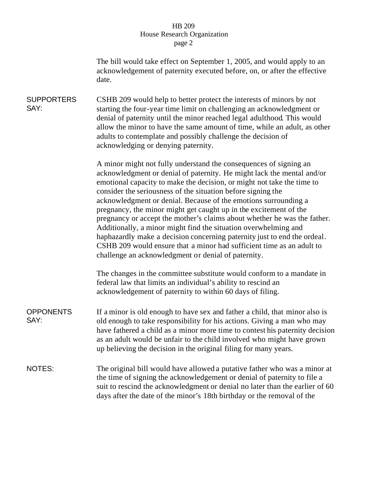## HB 209 House Research Organization page 2

The bill would take effect on September 1, 2005, and would apply to an acknowledgement of paternity executed before, on, or after the effective date.

**SUPPORTERS** SAY: CSHB 209 would help to better protect the interests of minors by not starting the four-year time limit on challenging an acknowledgment or denial of paternity until the minor reached legal adulthood. This would allow the minor to have the same amount of time, while an adult, as other adults to contemplate and possibly challenge the decision of acknowledging or denying paternity.

> A minor might not fully understand the consequences of signing an acknowledgment or denial of paternity. He might lack the mental and/or emotional capacity to make the decision, or might not take the time to consider the seriousness of the situation before signing the acknowledgment or denial. Because of the emotions surrounding a pregnancy, the minor might get caught up in the excitement of the pregnancy or accept the mother's claims about whether he was the father. Additionally, a minor might find the situation overwhelming and haphazardly make a decision concerning paternity just to end the ordeal. CSHB 209 would ensure that a minor had sufficient time as an adult to challenge an acknowledgment or denial of paternity.

The changes in the committee substitute would conform to a mandate in federal law that limits an individual's ability to rescind an acknowledgement of paternity to within 60 days of filing.

OPPONENTS SAY: If a minor is old enough to have sex and father a child, that minor also is old enough to take responsibility for his actions. Giving a man who may have fathered a child as a minor more time to contest his paternity decision as an adult would be unfair to the child involved who might have grown up believing the decision in the original filing for many years.

NOTES: The original bill would have allowed a putative father who was a minor at the time of signing the acknowledgement or denial of paternity to file a suit to rescind the acknowledgment or denial no later than the earlier of 60 days after the date of the minor's 18th birthday or the removal of the